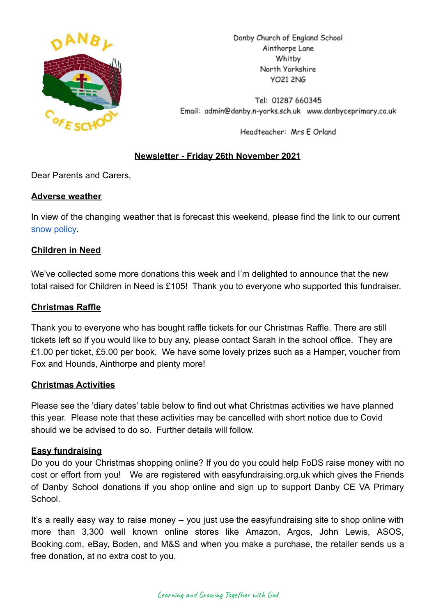

Danby Church of England School Ainthorpe Lane Whitby North Yorkshire **YO21 2NG** 

Tel: 01287 660345 Email: admin@danby.n-yorks.sch.uk www.danbyceprimary.co.uk

Headteacher: Mrs E Orland

# **Newsletter - Friday 26th November 2021**

Dear Parents and Carers,

## **Adverse weather**

In view of the changing weather that is forecast this weekend, please find the link to our current [snow policy.](https://drive.google.com/file/d/1PQF-KS64Fiqqa-jJlT9mfUV8MedCZC4v/view?usp=sharing)

## **Children in Need**

We've collected some more donations this week and I'm delighted to announce that the new total raised for Children in Need is £105! Thank you to everyone who supported this fundraiser.

## **Christmas Raffle**

Thank you to everyone who has bought raffle tickets for our Christmas Raffle. There are still tickets left so if you would like to buy any, please contact Sarah in the school office. They are £1.00 per ticket, £5.00 per book. We have some lovely prizes such as a Hamper, voucher from Fox and Hounds, Ainthorpe and plenty more!

## **Christmas Activities**

Please see the 'diary dates' table below to find out what Christmas activities we have planned this year. Please note that these activities may be cancelled with short notice due to Covid should we be advised to do so. Further details will follow.

# **Easy fundraising**

Do you do your Christmas shopping online? If you do you could help FoDS raise money with no cost or effort from you! We are registered with easyfundraising.org.uk which gives the Friends of Danby School donations if you shop online and sign up to support Danby CE VA Primary **School** 

It's a really easy way to raise money – you just use the easyfundraising site to shop online with more than 3,300 well known online stores like Amazon, Argos, John Lewis, ASOS, Booking.com, eBay, Boden, and M&S and when you make a purchase, the retailer sends us a free donation, at no extra cost to you.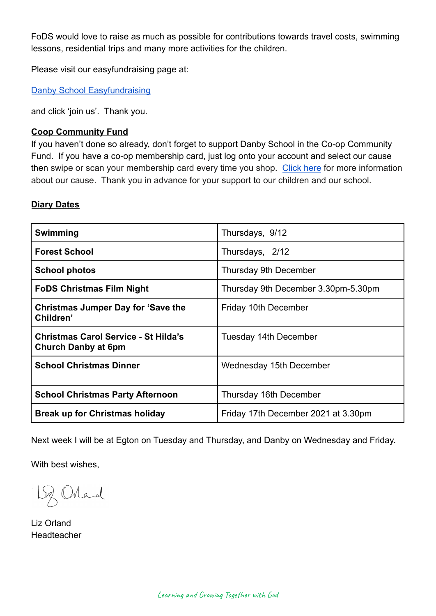FoDS would love to raise as much as possible for contributions towards travel costs, swimming lessons, residential trips and many more activities for the children.

Please visit our easyfundraising page at:

[Danby School Easyfundraising](https://www.easyfundraising.org.uk/causes/danbysch/?q=Danby%20School&cat=cause-autosuggest)

and click 'join us'. Thank you.

## **Coop Community Fund**

If you haven't done so already, don't forget to support Danby School in the Co-op Community Fund. If you have a co-op membership card, just log onto your account and select our cause then swipe or scan your membership card every time you shop. [Click here](https://co-operate.coop.co.uk/groups/danby-church-of-england-primary-school/) for more information about our cause. Thank you in advance for your support to our children and our school.

#### **Diary Dates**

| Swimming                                                                  | Thursdays, 9/12                     |
|---------------------------------------------------------------------------|-------------------------------------|
| <b>Forest School</b>                                                      | Thursdays, 2/12                     |
| <b>School photos</b>                                                      | <b>Thursday 9th December</b>        |
| <b>FoDS Christmas Film Night</b>                                          | Thursday 9th December 3.30pm-5.30pm |
| <b>Christmas Jumper Day for 'Save the</b><br>Children'                    | Friday 10th December                |
| <b>Christmas Carol Service - St Hilda's</b><br><b>Church Danby at 6pm</b> | Tuesday 14th December               |
| <b>School Christmas Dinner</b>                                            | Wednesday 15th December             |
| <b>School Christmas Party Afternoon</b>                                   | Thursday 16th December              |
| <b>Break up for Christmas holiday</b>                                     | Friday 17th December 2021 at 3.30pm |

Next week I will be at Egton on Tuesday and Thursday, and Danby on Wednesday and Friday.

With best wishes,

Loz Orland

Liz Orland Headteacher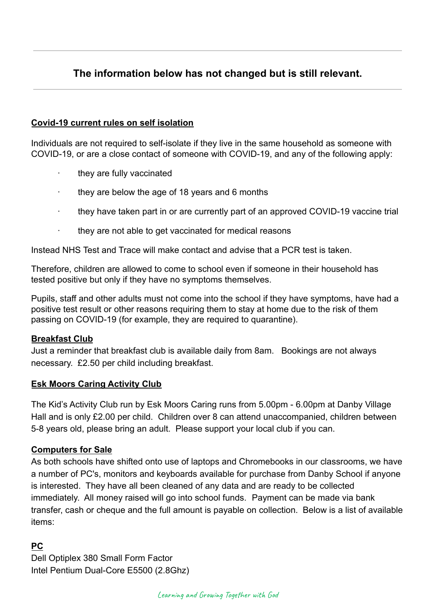# **The information below has not changed but is still relevant.**

## **Covid-19 current rules on self isolation**

Individuals are not required to self-isolate if they live in the same household as someone with COVID-19, or are a close contact of someone with COVID-19, and any of the following apply:

- they are fully vaccinated
- they are below the age of 18 years and 6 months
- · they have taken part in or are currently part of an approved COVID-19 vaccine trial
- they are not able to get vaccinated for medical reasons

Instead NHS Test and Trace will make contact and advise that a PCR test is taken.

Therefore, children are allowed to come to school even if someone in their household has tested positive but only if they have no symptoms themselves.

Pupils, staff and other adults must not come into the school if they have symptoms, have had a positive test result or other reasons requiring them to stay at home due to the risk of them passing on COVID-19 (for example, they are required to quarantine).

## **Breakfast Club**

Just a reminder that breakfast club is available daily from 8am. Bookings are not always necessary. £2.50 per child including breakfast.

## **Esk Moors Caring Activity Club**

The Kid's Activity Club run by Esk Moors Caring runs from 5.00pm - 6.00pm at Danby Village Hall and is only £2.00 per child. Children over 8 can attend unaccompanied, children between 5-8 years old, please bring an adult. Please support your local club if you can.

## **Computers for Sale**

As both schools have shifted onto use of laptops and Chromebooks in our classrooms, we have a number of PC's, monitors and keyboards available for purchase from Danby School if anyone is interested. They have all been cleaned of any data and are ready to be collected immediately. All money raised will go into school funds. Payment can be made via bank transfer, cash or cheque and the full amount is payable on collection. Below is a list of available items:

# **PC**

Dell Optiplex 380 Small Form Factor Intel Pentium Dual-Core E5500 (2.8Ghz)